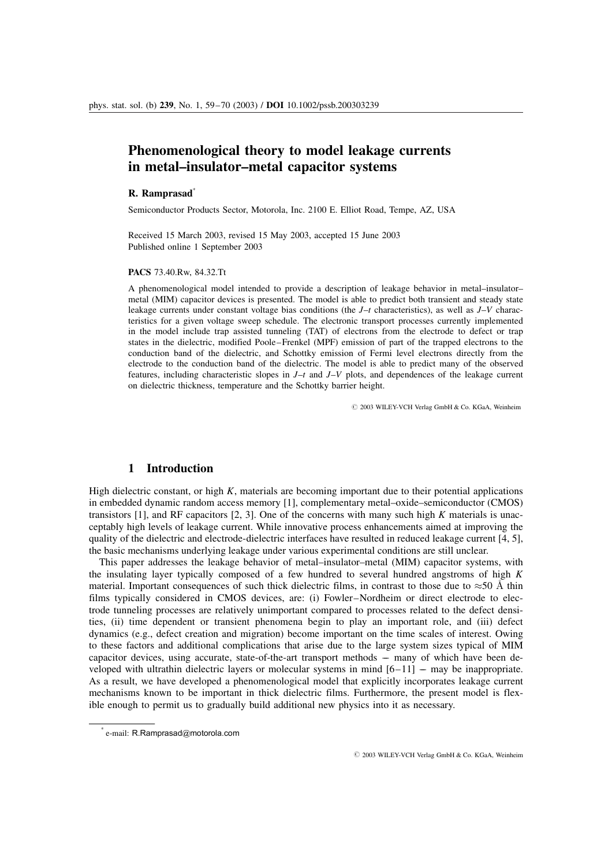# Phenomenological theory to model leakage currents in metal–insulator–metal capacitor systems

### R. Ramprasad<sup>\*</sup>

Semiconductor Products Sector, Motorola, Inc. 2100 E. Elliot Road, Tempe, AZ, USA

Received 15 March 2003, revised 15 May 2003, accepted 15 June 2003 Published online 1 September 2003

#### PACS 73.40.Rw, 84.32.Tt

A phenomenological model intended to provide a description of leakage behavior in metal–insulator– metal (MIM) capacitor devices is presented. The model is able to predict both transient and steady state leakage currents under constant voltage bias conditions (the  $J-t$  characteristics), as well as  $J-V$  characteristics for a given voltage sweep schedule. The electronic transport processes currently implemented in the model include trap assisted tunneling (TAT) of electrons from the electrode to defect or trap states in the dielectric, modified Poole–Frenkel (MPF) emission of part of the trapped electrons to the conduction band of the dielectric, and Schottky emission of Fermi level electrons directly from the electrode to the conduction band of the dielectric. The model is able to predict many of the observed features, including characteristic slopes in  $J-t$  and  $J-V$  plots, and dependences of the leakage current on dielectric thickness, temperature and the Schottky barrier height.

 $© 2003 WILEY-VCH Verlag GmbH & Co. KGaA, Weinheim$ 

## 1 Introduction

High dielectric constant, or high  $K$ , materials are becoming important due to their potential applications in embedded dynamic random access memory [1], complementary metal–oxide–semiconductor (CMOS) transistors [1], and RF capacitors [2, 3]. One of the concerns with many such high K materials is unacceptably high levels of leakage current. While innovative process enhancements aimed at improving the quality of the dielectric and electrode-dielectric interfaces have resulted in reduced leakage current [4, 5], the basic mechanisms underlying leakage under various experimental conditions are still unclear.

This paper addresses the leakage behavior of metal–insulator–metal (MIM) capacitor systems, with the insulating layer typically composed of a few hundred to several hundred angstroms of high  $K$ material. Important consequences of such thick dielectric films, in contrast to those due to  $\approx$  50 Å thin films typically considered in CMOS devices, are: (i) Fowler–Nordheim or direct electrode to electrode tunneling processes are relatively unimportant compared to processes related to the defect densities, (ii) time dependent or transient phenomena begin to play an important role, and (iii) defect dynamics (e.g., defect creation and migration) become important on the time scales of interest. Owing to these factors and additional complications that arise due to the large system sizes typical of MIM capacitor devices, using accurate, state-of-the-art transport methods –– many of which have been developed with ultrathin dielectric layers or molecular systems in mind  $[6-11]$  – may be inappropriate. As a result, we have developed a phenomenological model that explicitly incorporates leakage current mechanisms known to be important in thick dielectric films. Furthermore, the present model is flexible enough to permit us to gradually build additional new physics into it as necessary.

 $\odot$  2003 WILEY-VCH Verlag GmbH & Co. KGaA, Weinheim

 $*$  e-mail: R.Ramprasad@motorola.com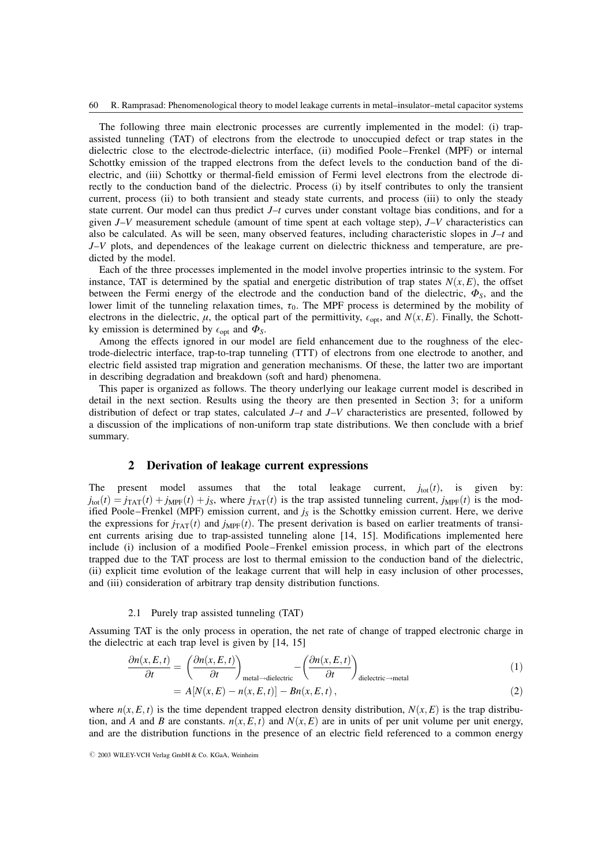The following three main electronic processes are currently implemented in the model: (i) trapassisted tunneling (TAT) of electrons from the electrode to unoccupied defect or trap states in the dielectric close to the electrode-dielectric interface, (ii) modified Poole–Frenkel (MPF) or internal Schottky emission of the trapped electrons from the defect levels to the conduction band of the dielectric, and (iii) Schottky or thermal-field emission of Fermi level electrons from the electrode directly to the conduction band of the dielectric. Process (i) by itself contributes to only the transient current, process (ii) to both transient and steady state currents, and process (iii) to only the steady state current. Our model can thus predict  $J-t$  curves under constant voltage bias conditions, and for a given J–V measurement schedule (amount of time spent at each voltage step), J–V characteristics can also be calculated. As will be seen, many observed features, including characteristic slopes in J–t and  $J-V$  plots, and dependences of the leakage current on dielectric thickness and temperature, are predicted by the model.

Each of the three processes implemented in the model involve properties intrinsic to the system. For instance, TAT is determined by the spatial and energetic distribution of trap states  $N(x, E)$ , the offset between the Fermi energy of the electrode and the conduction band of the dielectric,  $\Phi_{\rm S}$ , and the lower limit of the tunneling relaxation times,  $\tau_0$ . The MPF process is determined by the mobility of electrons in the dielectric,  $\mu$ , the optical part of the permittivity,  $\epsilon_{\text{opt}}$ , and  $N(x, E)$ . Finally, the Schottky emission is determined by  $\epsilon_{opt}$  and  $\Phi_S$ .

Among the effects ignored in our model are field enhancement due to the roughness of the electrode-dielectric interface, trap-to-trap tunneling (TTT) of electrons from one electrode to another, and electric field assisted trap migration and generation mechanisms. Of these, the latter two are important in describing degradation and breakdown (soft and hard) phenomena.

This paper is organized as follows. The theory underlying our leakage current model is described in detail in the next section. Results using the theory are then presented in Section 3; for a uniform distribution of defect or trap states, calculated  $J-t$  and  $J-V$  characteristics are presented, followed by a discussion of the implications of non-uniform trap state distributions. We then conclude with a brief summary.

## 2 Derivation of leakage current expressions

The present model assumes that the total leakage current,  $j_{tot}(t)$ , is given by:  $j_{\text{tot}}(t) = j_{\text{TAT}}(t) + j_{\text{MPF}}(t) + j_{\text{S}}$ , where  $j_{\text{TAT}}(t)$  is the trap assisted tunneling current,  $j_{\text{MPF}}(t)$  is the modified Poole–Frenkel (MPF) emission current, and  $j<sub>S</sub>$  is the Schottky emission current. Here, we derive the expressions for  $j_{TAT}(t)$  and  $j_{MPF}(t)$ . The present derivation is based on earlier treatments of transient currents arising due to trap-assisted tunneling alone [14, 15]. Modifications implemented here include (i) inclusion of a modified Poole–Frenkel emission process, in which part of the electrons trapped due to the TAT process are lost to thermal emission to the conduction band of the dielectric, (ii) explicit time evolution of the leakage current that will help in easy inclusion of other processes, and (iii) consideration of arbitrary trap density distribution functions.

### 2.1 Purely trap assisted tunneling (TAT)

Assuming TAT is the only process in operation, the net rate of change of trapped electronic charge in the dielectric at each trap level is given by [14, 15]

$$
\frac{\partial n(x, E, t)}{\partial t} = \left(\frac{\partial n(x, E, t)}{\partial t}\right)_{\text{metal}\rightarrow\text{dielectric}} - \left(\frac{\partial n(x, E, t)}{\partial t}\right)_{\text{dielectric}\rightarrow\text{metal}}
$$
(1)

$$
= A[N(x, E) - n(x, E, t)] - Bn(x, E, t), \qquad (2)
$$

where  $n(x, E, t)$  is the time dependent trapped electron density distribution,  $N(x, E)$  is the trap distribution, and A and B are constants.  $n(x, E, t)$  and  $N(x, E)$  are in units of per unit volume per unit energy, and are the distribution functions in the presence of an electric field referenced to a common energy

 $O$  2003 WILEY-VCH Verlag GmbH & Co. KGaA, Weinheim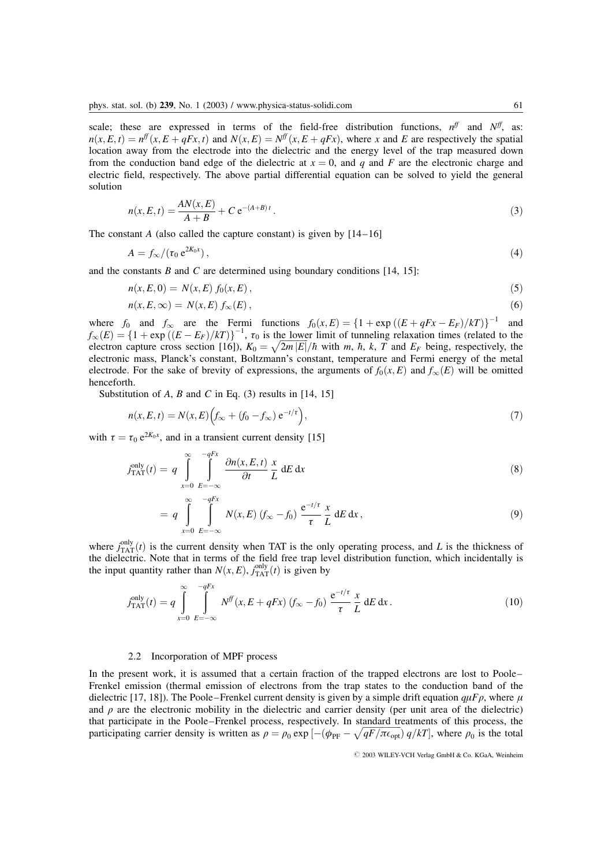scale; these are expressed in terms of the field-free distribution functions,  $n^{ff}$  and  $N^{ff}$ , as:  $n(x, E, t) = n^f(x, E + qFx, t)$  and  $N(x, E) = N^f(x, E + qFx)$ , where x and E are respectively the spatial location away from the electrode into the dielectric and the energy level of the trap measured down from the conduction band edge of the dielectric at  $x = 0$ , and q and F are the electronic charge and electric field, respectively. The above partial differential equation can be solved to yield the general solution

$$
n(x, E, t) = \frac{AN(x, E)}{A + B} + C e^{-(A+B)t}.
$$
\n(3)

The constant A (also called the capture constant) is given by  $[14-16]$ 

$$
A = f_{\infty}/(\tau_0 e^{2K_0 x}), \qquad (4)
$$

and the constants  $B$  and  $C$  are determined using boundary conditions [14, 15]:

$$
n(x, E, 0) = N(x, E) f_0(x, E), \qquad (5)
$$

$$
n(x, E, \infty) = N(x, E) f_{\infty}(E), \qquad (6)
$$

where  $f_0$  and  $f_{\infty}$  are the Fermi functions  $f_0(x,E) = \{1 + \exp((E + qFx - E_F)/kT)\}^{-1}$  and  $f_{\infty}(E) = \{1 + \exp((E - E_F)/kT)\}^{-1}$ ,  $\tau_0$  is the lower limit of tunneling relaxation times (related to the electron capture cross section [16]),  $K_0 = \sqrt{2m|E|}/\hbar$  with m,  $\hbar$ ,  $k$ ,  $T$  and  $E_F$  being, respectively, the electronic mass, Planck's constant, Boltzmann's constant, temperature and Fermi energy of the metal electrode. For the sake of brevity of expressions, the arguments of  $f_0(x, E)$  and  $f_\infty(E)$  will be omitted henceforth.

Substitution of A, B and C in Eq. (3) results in  $[14, 15]$ 

$$
n(x, E, t) = N(x, E)\left(f_{\infty} + (f_0 - f_{\infty}) e^{-t/\tau}\right),\tag{7}
$$

with  $\tau = \tau_0 e^{2K_0x}$ , and in a transient current density [15]

$$
j_{\text{TAT}}^{\text{only}}(t) = q \int_{x=0}^{\infty} \int_{E=-\infty}^{-qFx} \frac{\partial n(x, E, t)}{\partial t} \frac{x}{L} dE dx \tag{8}
$$

$$
= q \int_{x=0}^{\infty} \int_{E=-\infty}^{-qFx} N(x,E) \left( f_{\infty} - f_0 \right) \frac{e^{-t/\tau}}{\tau} \frac{x}{L} dE dx,
$$
\n(9)

where  $j_{\text{TAT}}^{\text{only}}(t)$  is the current density when TAT is the only operating process, and L is the thickness of the dielectric. Note that in terms of the field free trap level distribution function, which incidentally is the input quantity rather than  $N(x, E)$ ,  $j_{\text{TAT}}^{\text{only}}(t)$  is given by

$$
j_{\text{TAT}}^{\text{only}}(t) = q \int_{x=0}^{\infty} \int_{E=-\infty}^{-qFx} N^{ff}(x, E + qFx) (f_{\infty} - f_0) \frac{e^{-t/\tau}}{\tau} \frac{x}{L} dE dx.
$$
 (10)

#### 2.2 Incorporation of MPF process

In the present work, it is assumed that a certain fraction of the trapped electrons are lost to Poole– Frenkel emission (thermal emission of electrons from the trap states to the conduction band of the dielectric [17, 18]). The Poole–Frenkel current density is given by a simple drift equation  $q\mu F\rho$ , where  $\mu$ and  $\rho$  are the electronic mobility in the dielectric and carrier density (per unit area of the dielectric) that participate in the Poole–Frenkel process, respectively. In standard treatments of this process, the that participating carrier density is written as  $\rho = \rho_0 \exp\left[-(\phi_{\text{PF}} - \sqrt{qF/\pi\epsilon_{\text{opt}}}) q/kT\right]$ , where  $\rho_0$  is the total

 $O$  2003 WILEY-VCH Verlag GmbH & Co. KGaA, Weinheim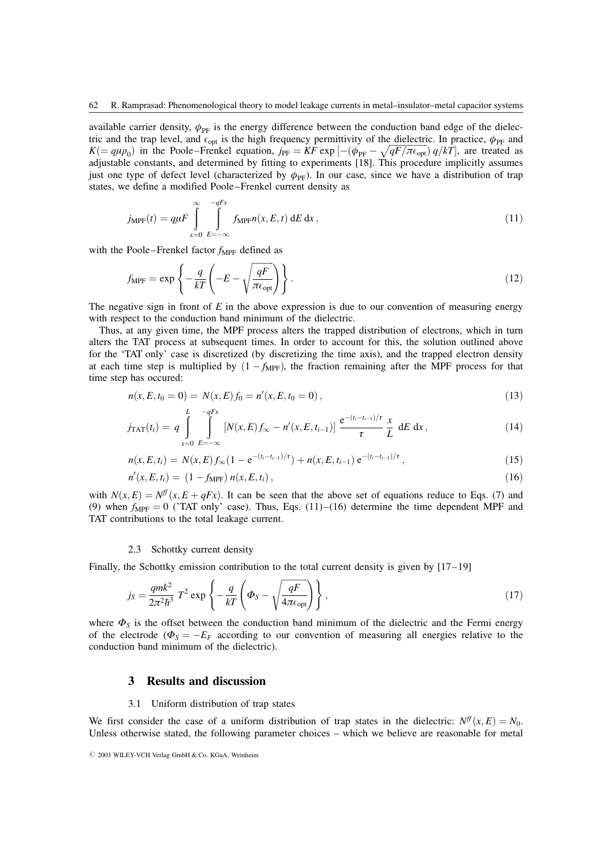available carrier density,  $\phi_{\text{PE}}$  is the energy difference between the conduction band edge of the dielectric and the trap level, and  $\epsilon_{opt}$  is the high frequency permittivity of the dielectric. In practice,  $\phi_{PF}$  and  $K (= q \mu \rho_0)$  in the Poole–Frenkel equation,  $j_{PF} = KF \exp \left[ -(\phi_{PF} - \sqrt{qF/\pi \epsilon_{opt}}) q/kT \right]$ , are treated as adjustable constants, and determined by fitting to experiments [18]. This procedure implicitly assumes just one type of defect level (characterized by  $\phi_{\text{PE}}$ ). In our case, since we have a distribution of trap states, we define a modified Poole–Frenkel current density as

$$
j_{\text{MPF}}(t) = q\mu F \int_{x=0}^{\infty} \int_{E=-\infty}^{-qFx} f_{\text{MPF}}(x, E, t) dE dx, \qquad (11)
$$

with the Poole–Frenkel factor  $f_{\text{MPF}}$  defined as

$$
f_{\text{MPF}} = \exp\left\{-\frac{q}{kT} \left(-E - \sqrt{\frac{qF}{\pi \epsilon_{\text{opt}}} }\right)\right\}.
$$
 (12)

The negative sign in front of  $E$  in the above expression is due to our convention of measuring energy with respect to the conduction band minimum of the dielectric.

Thus, at any given time, the MPF process alters the trapped distribution of electrons, which in turn alters the TAT process at subsequent times. In order to account for this, the solution outlined above for the 'TAT only' case is discretized (by discretizing the time axis), and the trapped electron density at each time step is multiplied by  $(1 - f_{MPF})$ , the fraction remaining after the MPF process for that time step has occured:

$$
n(x, E, t_0 = 0) = N(x, E) f_0 = n'(x, E, t_0 = 0),
$$
\n(13)

$$
j_{\text{TAT}}(t_i) = q \int\limits_{x=0}^{L} \int\limits_{E=-\infty}^{-qFx} \left[ N(x, E) f_{\infty} - n'(x, E, t_{i-1}) \right] \frac{e^{-(t_i - t_{i-1})/\tau}}{\tau} \frac{x}{L} \, \mathrm{d}E \, \mathrm{d}x \,, \tag{14}
$$

$$
n(x, E, t_i) = N(x, E) f_{\infty} (1 - e^{-(t_i - t_{i-1})/\tau}) + n(x, E, t_{i-1}) e^{-(t_i - t_{i-1})/\tau}, \qquad (15)
$$

$$
n'(x, E, t_i) = (1 - f_{\text{MPF}}) n(x, E, t_i), \qquad (16)
$$

with  $N(x, E) = N^{\text{ff}}(x, E + qFx)$ . It can be seen that the above set of equations reduce to Eqs. (7) and (9) when  $f_{MPF} = 0$  ('TAT only' case). Thus, Eqs. (11)–(16) determine the time dependent MPF and TAT contributions to the total leakage current.

## 2.3 Schottky current density

Finally, the Schottky emission contribution to the total current density is given by  $[17-19]$ 

$$
j_S = \frac{qmk^2}{2\pi^2\hbar^3} T^2 \exp\left\{-\frac{q}{kT} \left(\Phi_S - \sqrt{\frac{qF}{4\pi\epsilon_{\text{opt}}} }\right) \right\},\tag{17}
$$

where  $\Phi_S$  is the offset between the conduction band minimum of the dielectric and the Fermi energy of the electrode ( $\Phi_s = -E_F$  according to our convention of measuring all energies relative to the conduction band minimum of the dielectric).

## 3 Results and discussion

#### 3.1 Uniform distribution of trap states

We first consider the case of a uniform distribution of trap states in the dielectric:  $N^{ff}(x, E) = N_0$ . Unless otherwise stated, the following parameter choices – which we believe are reasonable for metal

 $O$  2003 WILEY-VCH Verlag GmbH & Co. KGaA, Weinheim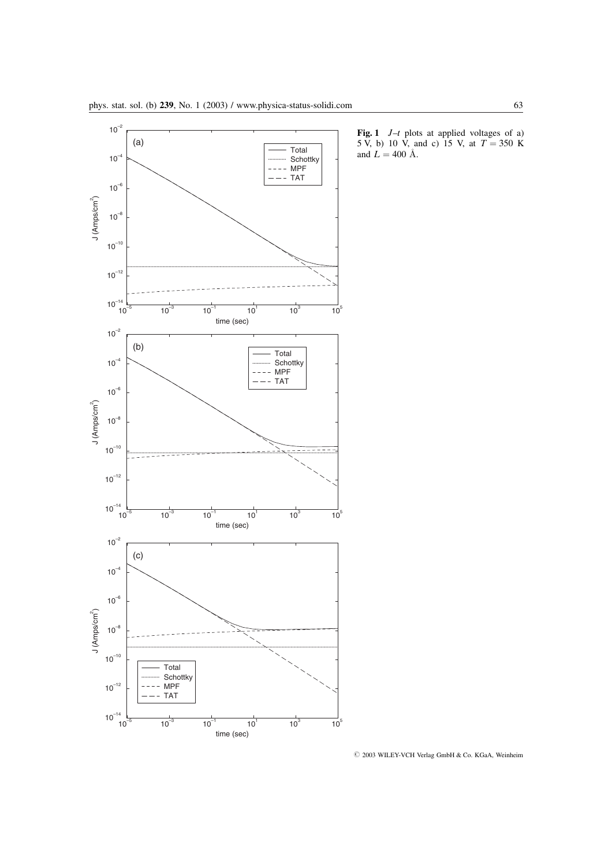

**Fig. 1**  $J-t$  plots at applied voltages of a) 5 V, b) 10 V, and c) 15 V, at  $T = 350$  K and  $\vec{L} = 400 \, \text{\AA}.$ 

 $O$  2003 WILEY-VCH Verlag GmbH & Co. KGaA, Weinheim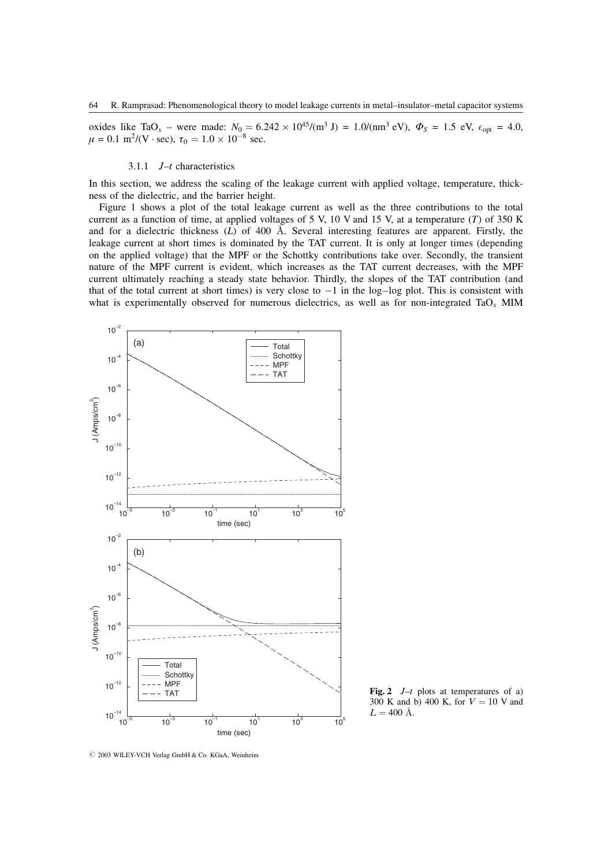oxides like TaO<sub>x</sub> – were made:  $N_0 = 6.242 \times 10^{45} / (m^3 J) = 1.0 / (nm^3 eV)$ ,  $\Phi_S = 1.5 eV$ ,  $\epsilon_{opt} = 4.0$ ,  $\mu = 0.1 \text{ m}^2 / (\text{V} \cdot \text{sec}), \tau_0 = 1.0 \times 10^{-8} \text{ sec}.$ 

#### 3.1.1  $J-t$  characteristics

In this section, we address the scaling of the leakage current with applied voltage, temperature, thickness of the dielectric, and the barrier height.

Figure 1 shows a plot of the total leakage current as well as the three contributions to the total current as a function of time, at applied voltages of 5 V, 10 V and 15 V, at a temperature  $(T)$  of 350 K and for a dielectric thickness  $(L)$  of 400  $\AA$ . Several interesting features are apparent. Firstly, the leakage current at short times is dominated by the TAT current. It is only at longer times (depending on the applied voltage) that the MPF or the Schottky contributions take over. Secondly, the transient nature of the MPF current is evident, which increases as the TAT current decreases, with the MPF current ultimately reaching a steady state behavior. Thirdly, the slopes of the TAT contribution (and that of the total current at short times) is very close to  $-1$  in the log-log plot. This is consistent with what is experimentally observed for numerous dielectrics, as well as for non-integrated TaO<sub>x</sub> MIM



Fig. 2  $J-t$  plots at temperatures of a) 300 K and b) 400 K, for  $V = 10$  V and  $L = 400$  Å.

 $O$  2003 WILEY-VCH Verlag GmbH & Co. KGaA, Weinheim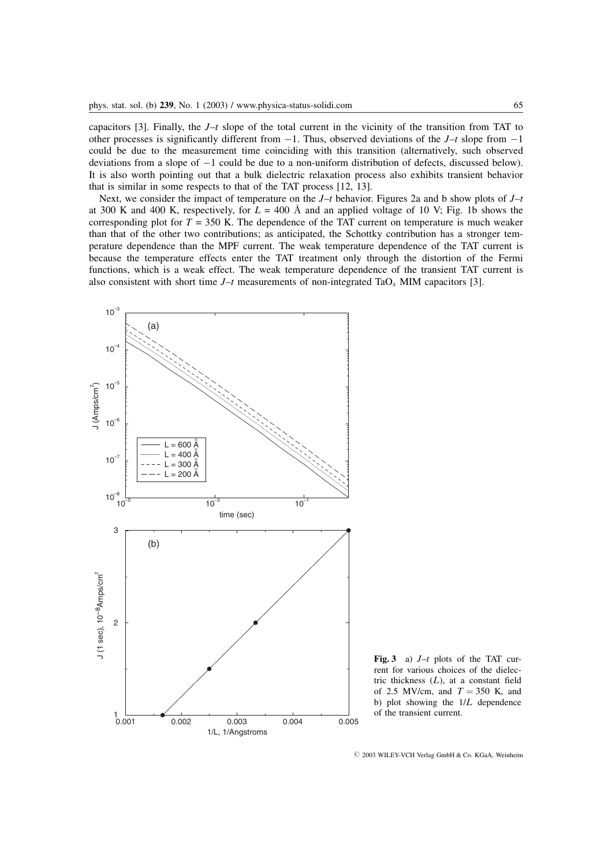capacitors [3]. Finally, the  $J-t$  slope of the total current in the vicinity of the transition from TAT to other processes is significantly different from  $-1$ . Thus, observed deviations of the  $J-t$  slope from  $-1$ could be due to the measurement time coinciding with this transition (alternatively, such observed deviations from a slope of  $-1$  could be due to a non-uniform distribution of defects, discussed below). It is also worth pointing out that a bulk dielectric relaxation process also exhibits transient behavior that is similar in some respects to that of the TAT process [12, 13].

Next, we consider the impact of temperature on the  $J-t$  behavior. Figures 2a and b show plots of  $J-t$ at 300 K and 400 K, respectively, for  $L = 400$  Å and an applied voltage of 10 V; Fig. 1b shows the corresponding plot for  $T = 350$  K. The dependence of the TAT current on temperature is much weaker than that of the other two contributions; as anticipated, the Schottky contribution has a stronger temperature dependence than the MPF current. The weak temperature dependence of the TAT current is because the temperature effects enter the TAT treatment only through the distortion of the Fermi functions, which is a weak effect. The weak temperature dependence of the transient TAT current is also consistent with short time  $J-t$  measurements of non-integrated TaO<sub>x</sub> MIM capacitors [3].



Fig. 3 a)  $J-t$  plots of the TAT current for various choices of the dielectric thickness  $(L)$ , at a constant field of 2.5 MV/cm, and  $T = 350$  K, and b) plot showing the  $1/L$  dependence of the transient current.

 $O$  2003 WILEY-VCH Verlag GmbH & Co. KGaA, Weinheim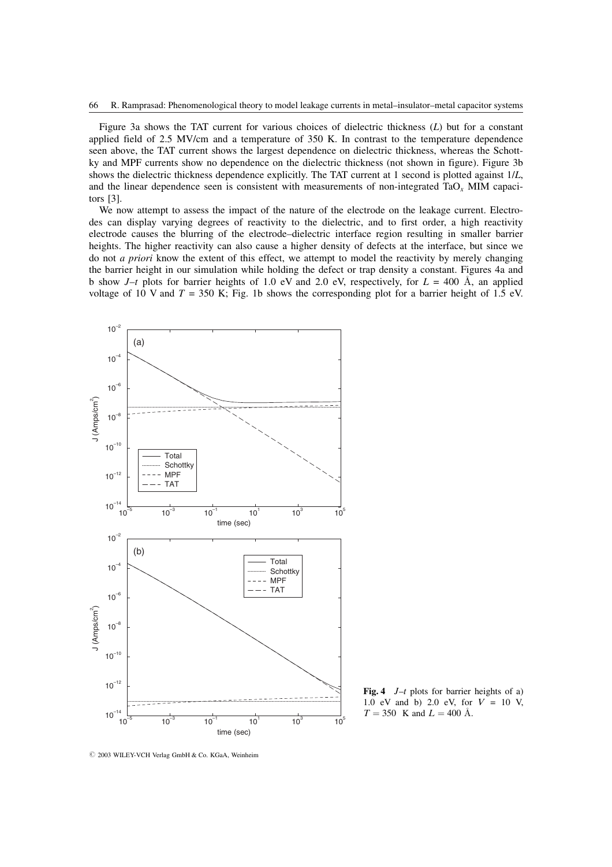Figure 3a shows the TAT current for various choices of dielectric thickness  $(L)$  but for a constant applied field of 2.5 MV/cm and a temperature of 350 K. In contrast to the temperature dependence seen above, the TAT current shows the largest dependence on dielectric thickness, whereas the Schottky and MPF currents show no dependence on the dielectric thickness (not shown in figure). Figure 3b shows the dielectric thickness dependence explicitly. The TAT current at 1 second is plotted against 1/L, and the linear dependence seen is consistent with measurements of non-integrated TaO<sub>x</sub> MIM capacitors [3].

We now attempt to assess the impact of the nature of the electrode on the leakage current. Electrodes can display varying degrees of reactivity to the dielectric, and to first order, a high reactivity electrode causes the blurring of the electrode–dielectric interface region resulting in smaller barrier heights. The higher reactivity can also cause a higher density of defects at the interface, but since we do not a priori know the extent of this effect, we attempt to model the reactivity by merely changing the barrier height in our simulation while holding the defect or trap density a constant. Figures 4a and b show  $J-t$  plots for barrier heights of 1.0 eV and 2.0 eV, respectively, for  $L = 400 \text{ Å}$ , an applied voltage of 10 V and  $T = 350$  K; Fig. 1b shows the corresponding plot for a barrier height of 1.5 eV.



Fig. 4  $J-t$  plots for barrier heights of a) 1.0 eV and b) 2.0 eV, for  $V = 10$  V,  $T = 350$  K and  $L = 400$  Å.

 $O$  2003 WILEY-VCH Verlag GmbH & Co. KGaA, Weinheim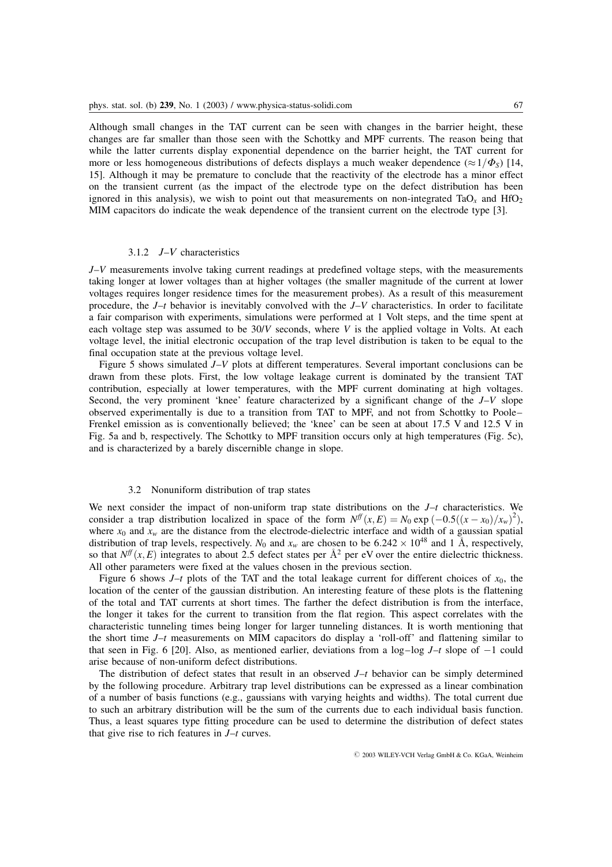Although small changes in the TAT current can be seen with changes in the barrier height, these changes are far smaller than those seen with the Schottky and MPF currents. The reason being that while the latter currents display exponential dependence on the barrier height, the TAT current for more or less homogeneous distributions of defects displays a much weaker dependence ( $\approx 1/\Phi_s$ ) [14, 15]. Although it may be premature to conclude that the reactivity of the electrode has a minor effect on the transient current (as the impact of the electrode type on the defect distribution has been ignored in this analysis), we wish to point out that measurements on non-integrated TaO<sub>x</sub> and HfO<sub>2</sub> MIM capacitors do indicate the weak dependence of the transient current on the electrode type [3].

## 3.1.2  $J-V$  characteristics

 $J-V$  measurements involve taking current readings at predefined voltage steps, with the measurements taking longer at lower voltages than at higher voltages (the smaller magnitude of the current at lower voltages requires longer residence times for the measurement probes). As a result of this measurement procedure, the  $J-t$  behavior is inevitably convolved with the  $J-V$  characteristics. In order to facilitate a fair comparison with experiments, simulations were performed at 1 Volt steps, and the time spent at each voltage step was assumed to be  $30/V$  seconds, where V is the applied voltage in Volts. At each voltage level, the initial electronic occupation of the trap level distribution is taken to be equal to the final occupation state at the previous voltage level.

Figure 5 shows simulated J–V plots at different temperatures. Several important conclusions can be drawn from these plots. First, the low voltage leakage current is dominated by the transient TAT contribution, especially at lower temperatures, with the MPF current dominating at high voltages. Second, the very prominent 'knee' feature characterized by a significant change of the  $J-V$  slope observed experimentally is due to a transition from TAT to MPF, and not from Schottky to Poole– Frenkel emission as is conventionally believed; the 'knee' can be seen at about 17.5 V and 12.5 V in Fig. 5a and b, respectively. The Schottky to MPF transition occurs only at high temperatures (Fig. 5c), and is characterized by a barely discernible change in slope.

### 3.2 Nonuniform distribution of trap states

We next consider the impact of non-uniform trap state distributions on the  $J-t$  characteristics. We consider a trap distribution localized in space of the form  $N^{\text{ff}}(x, E) = N_0 \exp(-0.5((x - x_0)/x_w)^2)$ , where  $x_0$  and  $x_w$  are the distance from the electrode-dielectric interface and width of a gaussian spatial distribution of trap levels, respectively.  $N_0$  and  $x_w$  are chosen to be 6.242  $\times$  10<sup>48</sup> and 1 Å, respectively, so that  $N^{\{f\}}(x, E)$  integrates to about 2.5 defect states per  $\mathring{A}^2$  per eV over the entire dielectric thickness. All other parameters were fixed at the values chosen in the previous section.

Figure 6 shows  $J-t$  plots of the TAT and the total leakage current for different choices of  $x_0$ , the location of the center of the gaussian distribution. An interesting feature of these plots is the flattening of the total and TAT currents at short times. The farther the defect distribution is from the interface, the longer it takes for the current to transition from the flat region. This aspect correlates with the characteristic tunneling times being longer for larger tunneling distances. It is worth mentioning that the short time  $J-t$  measurements on MIM capacitors do display a 'roll-off' and flattening similar to that seen in Fig. 6 [20]. Also, as mentioned earlier, deviations from a log-log  $J-t$  slope of  $-1$  could arise because of non-uniform defect distributions.

The distribution of defect states that result in an observed  $J-t$  behavior can be simply determined by the following procedure. Arbitrary trap level distributions can be expressed as a linear combination of a number of basis functions (e.g., gaussians with varying heights and widths). The total current due to such an arbitrary distribution will be the sum of the currents due to each individual basis function. Thus, a least squares type fitting procedure can be used to determine the distribution of defect states that give rise to rich features in  $J-t$  curves.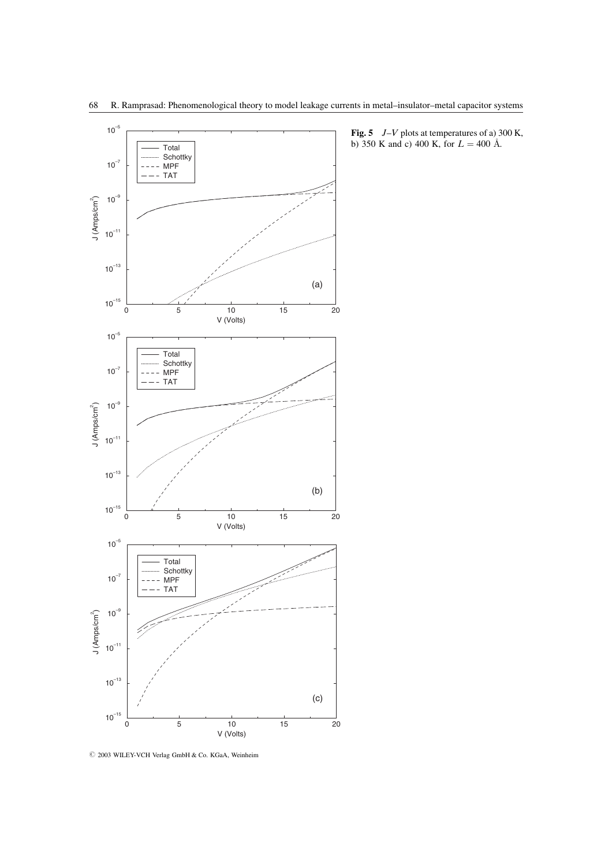

 $\odot$  2003 WILEY-VCH Verlag GmbH & Co. KGaA, Weinheim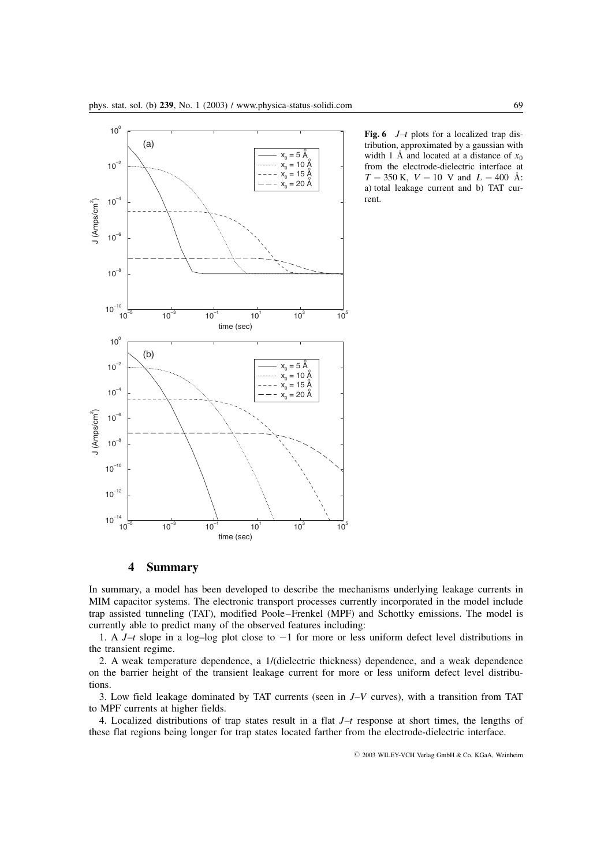

**Fig. 6**  $J-t$  plots for a localized trap distribution, approximated by a gaussian with width 1 Å and located at a distance of  $x_0$ from the electrode-dielectric interface at  $T = 350$  K,  $V = 10$  V and  $L = 400$  Å: a) total leakage current and b) TAT current.

## 4 Summary

In summary, a model has been developed to describe the mechanisms underlying leakage currents in MIM capacitor systems. The electronic transport processes currently incorporated in the model include trap assisted tunneling (TAT), modified Poole–Frenkel (MPF) and Schottky emissions. The model is currently able to predict many of the observed features including:

1. A  $J-t$  slope in a log-log plot close to  $-1$  for more or less uniform defect level distributions in the transient regime.

2. A weak temperature dependence, a 1/(dielectric thickness) dependence, and a weak dependence on the barrier height of the transient leakage current for more or less uniform defect level distributions.

3. Low field leakage dominated by TAT currents (seen in  $J-V$  curves), with a transition from TAT to MPF currents at higher fields.

4. Localized distributions of trap states result in a flat  $J-t$  response at short times, the lengths of these flat regions being longer for trap states located farther from the electrode-dielectric interface.